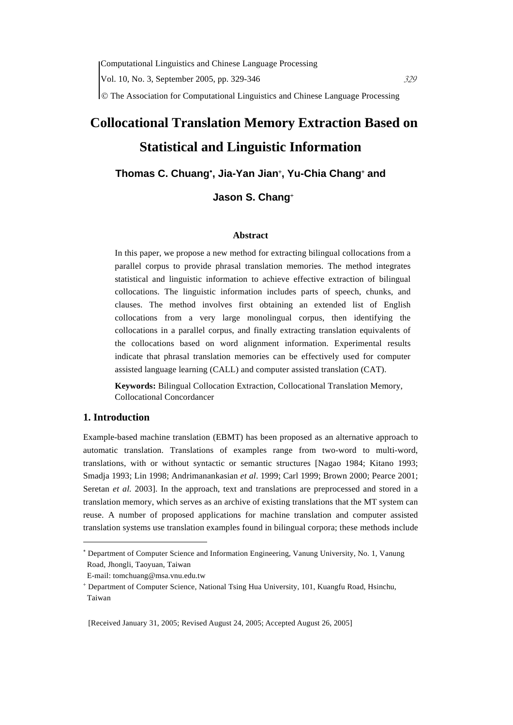# **Collocational Translation Memory Extraction Based on Statistical and Linguistic Information**

### **Thomas C. Chuang**<sup>∗</sup> **, Jia-Yan Jian**<sup>+</sup> **, Yu-Chia Chang**<sup>+</sup>  **and**

# **Jason S. Chang**<sup>+</sup>

#### **Abstract**

In this paper, we propose a new method for extracting bilingual collocations from a parallel corpus to provide phrasal translation memories. The method integrates statistical and linguistic information to achieve effective extraction of bilingual collocations. The linguistic information includes parts of speech, chunks, and clauses. The method involves first obtaining an extended list of English collocations from a very large monolingual corpus, then identifying the collocations in a parallel corpus, and finally extracting translation equivalents of the collocations based on word alignment information. Experimental results indicate that phrasal translation memories can be effectively used for computer assisted language learning (CALL) and computer assisted translation (CAT).

**Keywords:** Bilingual Collocation Extraction, Collocational Translation Memory, Collocational Concordancer

#### **1. Introduction**

 $\overline{a}$ 

Example-based machine translation (EBMT) has been proposed as an alternative approach to automatic translation. Translations of examples range from two-word to multi-word, translations, with or without syntactic or semantic structures [Nagao 1984; Kitano 1993; Smadja 1993; Lin 1998; Andrimanankasian *et al*. 1999; Carl 1999; Brown 2000; Pearce 2001; Seretan *et al.* 2003]. In the approach, text and translations are preprocessed and stored in a translation memory, which serves as an archive of existing translations that the MT system can reuse. A number of proposed applications for machine translation and computer assisted translation systems use translation examples found in bilingual corpora; these methods include

<sup>∗</sup> Department of Computer Science and Information Engineering, Vanung University, No. 1, Vanung Road, Jhongli, Taoyuan, Taiwan

E-mail: tomchuang@msa.vnu.edu.tw

<sup>+</sup> Department of Computer Science, National Tsing Hua University, 101, Kuangfu Road, Hsinchu, Taiwan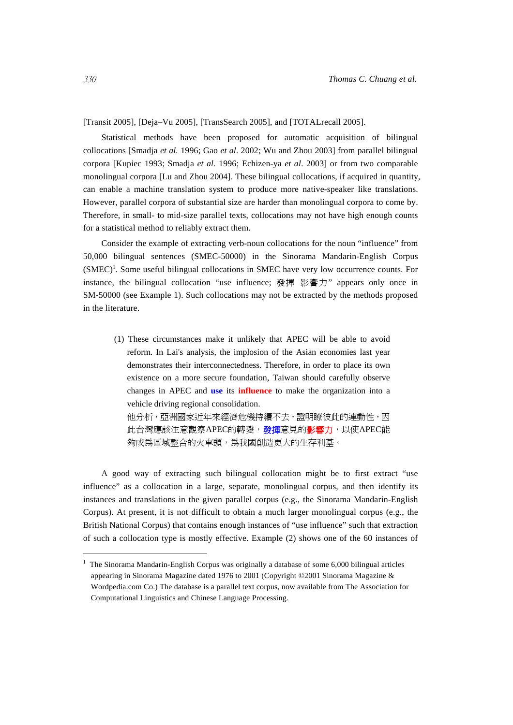[Transit 2005], [Deja–Vu 2005], [TransSearch 2005], and [TOTALrecall 2005].

Statistical methods have been proposed for automatic acquisition of bilingual collocations [Smadja *et al.* 1996; Gao *et al*. 2002; Wu and Zhou 2003] from parallel bilingual corpora [Kupiec 1993; Smadja *et al.* 1996; Echizen-ya *et al*. 2003] or from two comparable monolingual corpora [Lu and Zhou 2004]. These bilingual collocations, if acquired in quantity, can enable a machine translation system to produce more native-speaker like translations. However, parallel corpora of substantial size are harder than monolingual corpora to come by. Therefore, in small- to mid-size parallel texts, collocations may not have high enough counts for a statistical method to reliably extract them.

Consider the example of extracting verb-noun collocations for the noun "influence" from 50,000 bilingual sentences (SMEC-50000) in the Sinorama Mandarin-English Corpus  $(SMEC)<sup>1</sup>$ . Some useful bilingual collocations in SMEC have very low occurrence counts. For instance, the bilingual collocation "use influence; 發揮 影響力" appears only once in SM-50000 (see Example 1). Such collocations may not be extracted by the methods proposed in the literature.

(1) These circumstances make it unlikely that APEC will be able to avoid reform. In Lai's analysis, the implosion of the Asian economies last year demonstrates their interconnectedness. Therefore, in order to place its own existence on a more secure foundation, Taiwan should carefully observe changes in APEC and **use** its **influence** to make the organization into a vehicle driving regional consolidation.

他分析,亞洲國家近年來經濟危機持續不去,證明瞭彼此的連動性,因 此台灣應該注意觀察APEC的轉變,發揮意見的影響力,以使APEC能 夠成為區域整合的火車頭,為我國創造更大的生存利基。

A good way of extracting such bilingual collocation might be to first extract "use influence" as a collocation in a large, separate, monolingual corpus, and then identify its instances and translations in the given parallel corpus (e.g., the Sinorama Mandarin-English Corpus). At present, it is not difficult to obtain a much larger monolingual corpus (e.g., the British National Corpus) that contains enough instances of "use influence" such that extraction of such a collocation type is mostly effective. Example (2) shows one of the 60 instances of

 $\overline{a}$ 

 $1$  The Sinorama Mandarin-English Corpus was originally a database of some 6,000 bilingual articles appearing in Sinorama Magazine dated 1976 to 2001 (Copyright ©2001 Sinorama Magazine & Wordpedia.com Co.) The database is a parallel text corpus, now available from The Association for Computational Linguistics and Chinese Language Processing.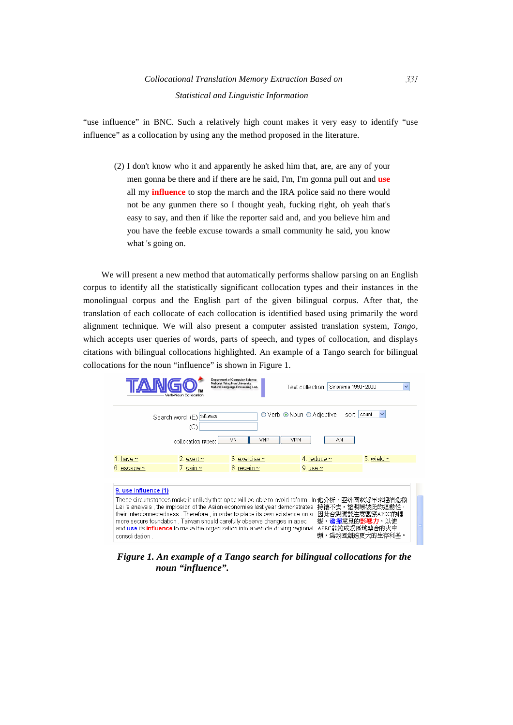"use influence" in BNC. Such a relatively high count makes it very easy to identify "use influence" as a collocation by using any the method proposed in the literature.

(2) I don't know who it and apparently he asked him that, are, are any of your men gonna be there and if there are he said, I'm, I'm gonna pull out and **use** all my **influence** to stop the march and the IRA police said no there would not be any gunmen there so I thought yeah, fucking right, oh yeah that's easy to say, and then if like the reporter said and, and you believe him and you have the feeble excuse towards a small community he said, you know what 's going on.

We will present a new method that automatically performs shallow parsing on an English corpus to identify all the statistically significant collocation types and their instances in the monolingual corpus and the English part of the given bilingual corpus. After that, the translation of each collocate of each collocation is identified based using primarily the word alignment technique. We will also present a computer assisted translation system, *Tango,* which accepts user queries of words, parts of speech, and types of collocation, and displays citations with bilingual collocations highlighted. An example of a Tango search for bilingual collocations for the noun "influence" is shown in Figure 1.

| Verb-Noun Collocation                                                                                                                                                                                                                                                                                                                                                                                                                                                                                                                                                                  | <b>Department of Computer Science</b><br>National Tsing Hua University<br>Natural Language Processing Lab. | Text collection: Sinorama 1990~2000 |                  |  |  |
|----------------------------------------------------------------------------------------------------------------------------------------------------------------------------------------------------------------------------------------------------------------------------------------------------------------------------------------------------------------------------------------------------------------------------------------------------------------------------------------------------------------------------------------------------------------------------------------|------------------------------------------------------------------------------------------------------------|-------------------------------------|------------------|--|--|
| Search word: (E) influence<br>(C<br>collocation types:                                                                                                                                                                                                                                                                                                                                                                                                                                                                                                                                 | VN<br>VNP                                                                                                  | VPN<br>AN                           | sort: I<br>count |  |  |
| 2. exert $\sim$<br>1. have $\sim$                                                                                                                                                                                                                                                                                                                                                                                                                                                                                                                                                      | 3. exercise $\sim$                                                                                         | 4, reduce $\sim$                    | 5, wield $\sim$  |  |  |
| 7. gain $\sim$<br>$6.$ escape ~                                                                                                                                                                                                                                                                                                                                                                                                                                                                                                                                                        | 8. regain ~                                                                                                | 9. use $\sim$                       |                  |  |  |
| 9. use influence (1)<br>These circumstances make it unlikely that apec will be able to avoid reform . In 他分析,亞洲國家近年來經濟危機<br>Lai 's analysis , the implosion of the Asian economies last year demonstrates 持續不去,證明瞭彼此的連動性:<br>their interconnectedness. Therefore, in order to place its own existence on a<br>因此台灣應該注意觀察APEC的轉<br>more secure foundation, Taiwan should carefully observe changes in apec<br>變, <b>發揮</b> 意見的 <b>影響力</b> ,以使<br>APEC能夠成為區域整合的火車<br>and use its influence to make the organization into a vehicle driving regional<br>頭,為我國創造更大的生存利基。<br>consolidation. |                                                                                                            |                                     |                  |  |  |

*Figure 1. An example of a Tango search for bilingual collocations for the noun "influence".*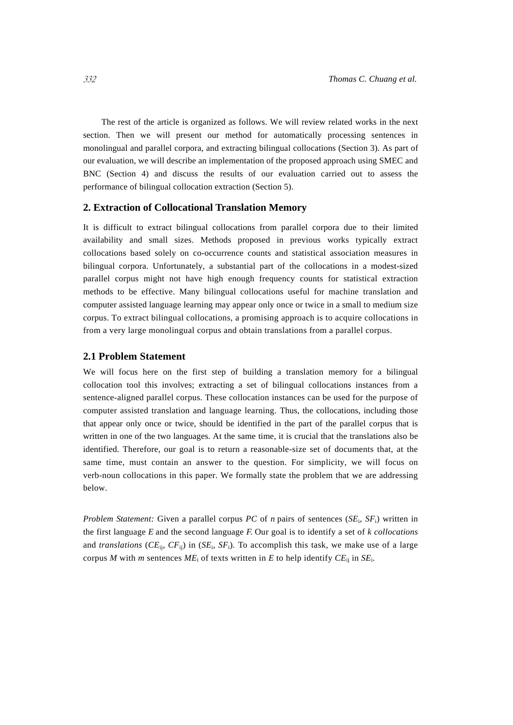The rest of the article is organized as follows. We will review related works in the next section. Then we will present our method for automatically processing sentences in monolingual and parallel corpora, and extracting bilingual collocations (Section 3). As part of our evaluation, we will describe an implementation of the proposed approach using SMEC and BNC (Section 4) and discuss the results of our evaluation carried out to assess the performance of bilingual collocation extraction (Section 5).

#### **2. Extraction of Collocational Translation Memory**

It is difficult to extract bilingual collocations from parallel corpora due to their limited availability and small sizes. Methods proposed in previous works typically extract collocations based solely on co-occurrence counts and statistical association measures in bilingual corpora. Unfortunately, a substantial part of the collocations in a modest-sized parallel corpus might not have high enough frequency counts for statistical extraction methods to be effective. Many bilingual collocations useful for machine translation and computer assisted language learning may appear only once or twice in a small to medium size corpus. To extract bilingual collocations, a promising approach is to acquire collocations in from a very large monolingual corpus and obtain translations from a parallel corpus.

#### **2.1 Problem Statement**

We will focus here on the first step of building a translation memory for a bilingual collocation tool this involves; extracting a set of bilingual collocations instances from a sentence-aligned parallel corpus. These collocation instances can be used for the purpose of computer assisted translation and language learning. Thus, the collocations, including those that appear only once or twice, should be identified in the part of the parallel corpus that is written in one of the two languages. At the same time, it is crucial that the translations also be identified. Therefore, our goal is to return a reasonable-size set of documents that, at the same time, must contain an answer to the question. For simplicity, we will focus on verb-noun collocations in this paper. We formally state the problem that we are addressing below.

*Problem Statement:* Given a parallel corpus *PC* of *n* pairs of sentences (*SE*i, *SF*i) written in the first language *E* and the second language *F.* Our goal is to identify a set of *k collocations*  and *translations* (*CE*ij, *CF*ij) in (*SE*i, *SF*i)*.* To accomplish this task, we make use of a large corpus *M* with *m* sentences  $ME_i$  of texts written in *E* to help identify  $CE_{ij}$  in  $SE_i$ .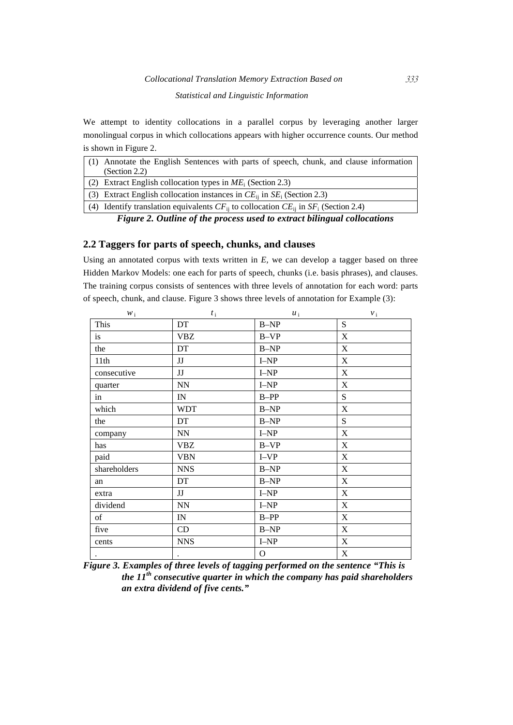# *Collocational Translation Memory Extraction Based on* 333 *Statistical and Linguistic Information*

We attempt to identity collocations in a parallel corpus by leveraging another larger monolingual corpus in which collocations appears with higher occurrence counts. Our method is shown in Figure 2.

| (1) Annotate the English Sentences with parts of speech, chunk, and clause information          |
|-------------------------------------------------------------------------------------------------|
| (Section 2.2)                                                                                   |
| (2) Extract English collocation types in $ME_i$ (Section 2.3)                                   |
| (3) Extract English collocation instances in $CE_{ii}$ in $SE_{i}$ (Section 2.3)                |
| (4) Identify translation equivalents $CF_{ii}$ to collocation $CE_{ii}$ in $SF_i$ (Section 2.4) |
| Figure 2. Outling of the process used to extract bilingual collegations.                        |

*Figure 2. Outline of the process used to extract bilingual collocations* 

## **2.2 Taggers for parts of speech, chunks, and clauses**

Using an annotated corpus with texts written in *E,* we can develop a tagger based on three Hidden Markov Models: one each for parts of speech, chunks (i.e. basis phrases), and clauses. The training corpus consists of sentences with three levels of annotation for each word: parts of speech, chunk, and clause. Figure 3 shows three levels of annotation for Example (3):

| $W_i$        | $t_i$      | $u_i$       | $v_{\rm \,i}$ |
|--------------|------------|-------------|---------------|
| This         | DT         | $B-NP$      | S             |
| is           | <b>VBZ</b> | $B-VP$      | $\mathbf X$   |
| the          | DT         | $B-NP$      | $\mathbf X$   |
| 11th         | JJ         | $I-NP$      | $\mathbf X$   |
| consecutive  | JJ         | $I-NP$      | $\mathbf X$   |
| quarter      | ${\rm NN}$ | $I-NP$      | $\mathbf X$   |
| in           | IN         | $B-PP$      | S             |
| which        | <b>WDT</b> | $B-NP$      | $\mathbf X$   |
| the          | DT         | $B-NP$      | S             |
| company      | NN         | $I-NP$      | $\mathbf X$   |
| has          | <b>VBZ</b> | $B-VP$      | $\mathbf X$   |
| paid         | <b>VBN</b> | $I-VP$      | X             |
| shareholders | <b>NNS</b> | $B-NP$      | $\mathbf X$   |
| an           | DT         | $B-NP$      | $\mathbf X$   |
| extra        | JJ         | $I-NP$      | $\mathbf X$   |
| dividend     | ${\rm NN}$ | $I-NP$      | $\mathbf X$   |
| of           | IN         | $B-PP$      | X             |
| five         | CD         | $B-NP$      | $\mathbf X$   |
| cents        | <b>NNS</b> | $I-NP$      | $\mathbf X$   |
| $\bullet$    | $\bullet$  | $\mathbf O$ | $\mathbf X$   |

*Figure 3. Examples of three levels of tagging performed on the sentence "This is the 11th consecutive quarter in which the company has paid shareholders an extra dividend of five cents."*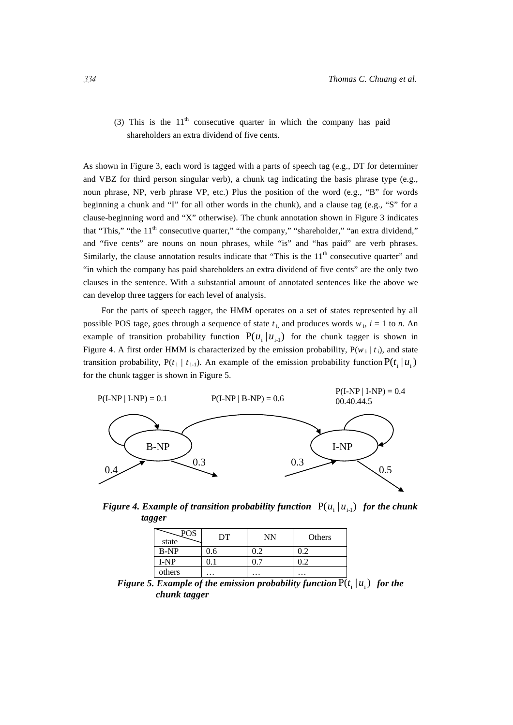(3) This is the  $11<sup>th</sup>$  consecutive quarter in which the company has paid shareholders an extra dividend of five cents.

As shown in Figure 3, each word is tagged with a parts of speech tag (e.g., DT for determiner and VBZ for third person singular verb), a chunk tag indicating the basis phrase type (e.g., noun phrase, NP, verb phrase VP, etc.) Plus the position of the word  $(e.g., "B"$  for words beginning a chunk and "I" for all other words in the chunk), and a clause tag (e.g., "S" for a clause-beginning word and "X" otherwise). The chunk annotation shown in Figure 3 indicates that "This," "the 11<sup>th</sup> consecutive quarter," "the company," "shareholder," "an extra dividend," and "five cents" are nouns on noun phrases, while "is" and "has paid" are verb phrases. Similarly, the clause annotation results indicate that "This is the  $11<sup>th</sup>$  consecutive quarter" and "in which the company has paid shareholders an extra dividend of five cents" are the only two clauses in the sentence. With a substantial amount of annotated sentences like the above we can develop three taggers for each level of analysis.

For the parts of speech tagger, the HMM operates on a set of states represented by all possible POS tage, goes through a sequence of state  $t_i$  and produces words  $w_i$ ,  $i = 1$  to *n*. An example of transition probability function  $P(u_i | u_{i-1})$  for the chunk tagger is shown in Figure 4. A first order HMM is characterized by the emission probability,  $P(w_i | t_i)$ , and state transition probability,  $P(t_i | t_{i-1})$ . An example of the emission probability function  $P(t_i | u_i)$ for the chunk tagger is shown in Figure 5.



*Figure 4. Example of transition probability function*  $P(u_i | u_{i-1})$  *for the chunk tagger* 

| state  | DT  | NN  | Others |
|--------|-----|-----|--------|
| $B-NP$ | 0.6 | 0.2 | 0.2    |
| $I-NP$ |     |     |        |
| others | .   | .   | .      |

*Figure 5. Example of the emission probability function*  $P(t_i | u_i)$  *for the chunk tagger*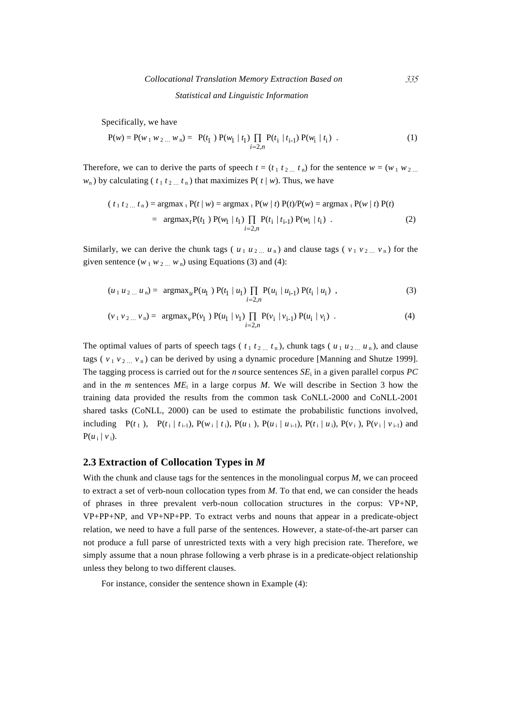Specifically, we have

$$
P(w) = P(w_1 w_2 ... w_n) = P(t_1) P(w_1 | t_1) \prod_{i=2,n} P(t_i | t_{i-1}) P(w_i | t_i)
$$
 (1)

Therefore, we can to derive the parts of speech  $t = (t_1 t_2 ... t_n)$  for the sentence  $w = (w_1 w_2 ...$  $w_n$ ) by calculating ( $t_1 t_2 ... t_n$ ) that maximizes P( $t | w$ ). Thus, we have

$$
(t_1 t_2 ... t_n) = \operatorname{argmax}_{t} P(t | w) = \operatorname{argmax}_{t} P(w | t) P(t) / P(w) = \operatorname{argmax}_{t} P(w | t) P(t)
$$
  
= 
$$
\operatorname{argmax}_{t} P(t_1) P(w_1 | t_1) \prod_{i=2,n} P(t_i | t_{i-1}) P(w_i | t_i) .
$$
 (2)

Similarly, we can derive the chunk tags ( $u_1 u_2 ... u_n$ ) and clause tags ( $v_1 v_2 ... v_n$ ) for the given sentence  $(w_1 w_2 ... w_n)$  using Equations (3) and (4):

$$
(u_1 u_2 ... u_n) = \operatorname{argmax}_{u} P(u_1) P(t_1 | u_1) \prod_{i=2,n} P(u_i | u_{i-1}) P(t_i | u_i) , \qquad (3)
$$

$$
(\nu_1 \nu_2 ... \nu_n) = \text{argmax}_{\nu} P(\nu_1) P(u_1 | \nu_1) \prod_{i=2,n} P(\nu_i | \nu_{i-1}) P(u_i | \nu_i) . \tag{4}
$$

The optimal values of parts of speech tags ( $t_1 t_2 ... t_n$ ), chunk tags ( $u_1 u_2 ... u_n$ ), and clause tags ( $v_1 v_2 ... v_n$ ) can be derived by using a dynamic procedure [Manning and Shutze 1999]. The tagging process is carried out for the *n* source sentences  $SE_i$  in a given parallel corpus *PC* and in the *m* sentences  $ME_i$  in a large corpus *M*. We will describe in Section 3 how the training data provided the results from the common task CoNLL-2000 and CoNLL-2001 shared tasks (CoNLL, 2000) can be used to estimate the probabilistic functions involved, including  $P(t_1)$ ,  $P(t_i | t_{i-1})$ ,  $P(w_i | t_i)$ ,  $P(u_1 | t_{i+1})$ ,  $P(u_i | u_{i-1})$ ,  $P(t_i | u_i)$ ,  $P(v_i)$ ,  $P(v_i | v_{i-1})$  and  $P(u_i | v_i)$ .

#### **2.3 Extraction of Collocation Types in** *M*

With the chunk and clause tags for the sentences in the monolingual corpus *M*, we can proceed to extract a set of verb-noun collocation types from *M*. To that end, we can consider the heads of phrases in three prevalent verb-noun collocation structures in the corpus: VP+NP, VP+PP+NP, and VP+NP+PP. To extract verbs and nouns that appear in a predicate-object relation, we need to have a full parse of the sentences. However, a state-of-the-art parser can not produce a full parse of unrestricted texts with a very high precision rate. Therefore, we simply assume that a noun phrase following a verb phrase is in a predicate-object relationship unless they belong to two different clauses.

For instance, consider the sentence shown in Example (4):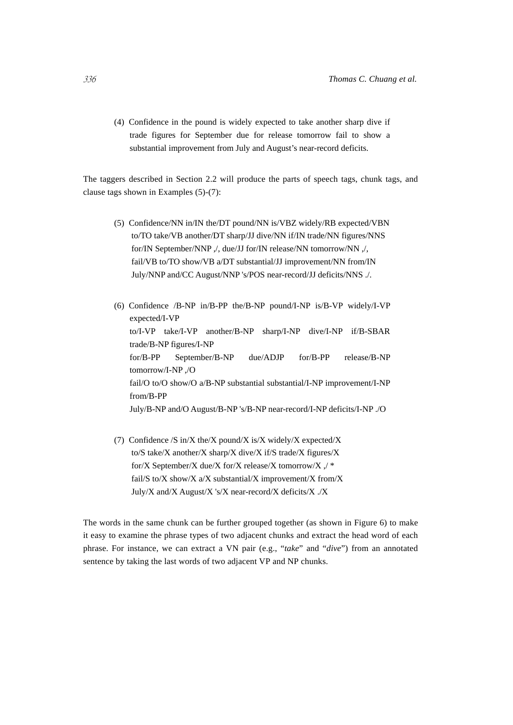(4) Confidence in the pound is widely expected to take another sharp dive if trade figures for September due for release tomorrow fail to show a substantial improvement from July and August's near-record deficits.

The taggers described in Section 2.2 will produce the parts of speech tags, chunk tags, and clause tags shown in Examples (5)-(7):

(5) Confidence/NN in/IN the/DT pound/NN is/VBZ widely/RB expected/VBN to/TO take/VB another/DT sharp/JJ dive/NN if/IN trade/NN figures/NNS for/IN September/NNP ,/, due/JJ for/IN release/NN tomorrow/NN ,/, fail/VB to/TO show/VB a/DT substantial/JJ improvement/NN from/IN July/NNP and/CC August/NNP 's/POS near-record/JJ deficits/NNS ./.

(6) Confidence /B-NP in/B-PP the/B-NP pound/I-NP is/B-VP widely/I-VP expected/I-VP to/I-VP take/I-VP another/B-NP sharp/I-NP dive/I-NP if/B-SBAR trade/B-NP figures/I-NP for/B-PP September/B-NP due/ADJP for/B-PP release/B-NP tomorrow/I-NP ,/O fail/O to/O show/O a/B-NP substantial substantial/I-NP improvement/I-NP from/B-PP July/B-NP and/O August/B-NP 's/B-NP near-record/I-NP deficits/I-NP ./O

(7) Confidence /S in/X the/X pound/X is/X widely/X expected/X to/S take/X another/X sharp/X dive/X if/S trade/X figures/X for/X September/X due/X for/X release/X tomorrow/X ,/ \* fail/S to/X show/X a/X substantial/X improvement/X from/X July/X and/X August/X 's/X near-record/X deficits/X ./X

The words in the same chunk can be further grouped together (as shown in Figure 6) to make it easy to examine the phrase types of two adjacent chunks and extract the head word of each phrase. For instance, we can extract a VN pair (e.g., "*take*" and "*dive*") from an annotated sentence by taking the last words of two adjacent VP and NP chunks.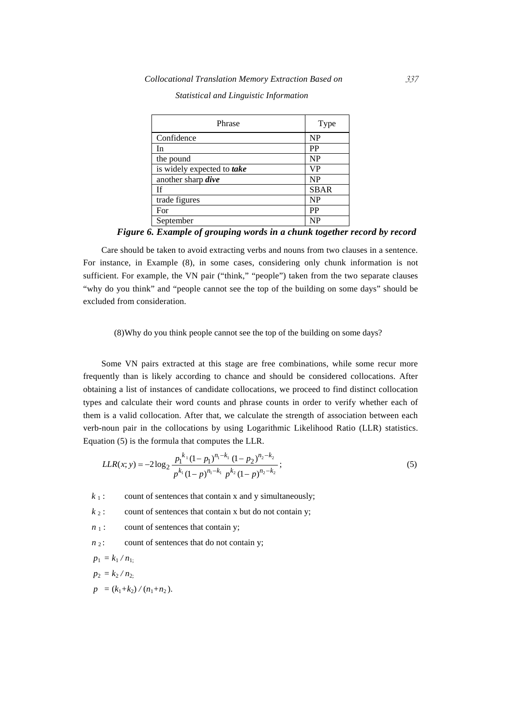| Phrase                     | Type        |
|----------------------------|-------------|
| Confidence                 | <b>NP</b>   |
| In                         | <b>PP</b>   |
| the pound                  | <b>NP</b>   |
| is widely expected to take | <b>VP</b>   |
| another sharp <i>dive</i>  | <b>NP</b>   |
| <b>If</b>                  | <b>SBAR</b> |
| trade figures              | <b>NP</b>   |
| For                        | PP          |
| September                  | <b>NP</b>   |

*Statistical and Linguistic Information* 

*Figure 6. Example of grouping words in a chunk together record by record* 

Care should be taken to avoid extracting verbs and nouns from two clauses in a sentence. For instance, in Example (8), in some cases, considering only chunk information is not sufficient. For example, the VN pair ("think," "people") taken from the two separate clauses "why do you think" and "people cannot see the top of the building on some days" should be excluded from consideration.

(8)Why do you think people cannot see the top of the building on some days?

Some VN pairs extracted at this stage are free combinations, while some recur more frequently than is likely according to chance and should be considered collocations. After obtaining a list of instances of candidate collocations, we proceed to find distinct collocation types and calculate their word counts and phrase counts in order to verify whether each of them is a valid collocation. After that, we calculate the strength of association between each verb-noun pair in the collocations by using Logarithmic Likelihood Ratio (LLR) statistics. Equation (5) is the formula that computes the LLR.

$$
LLR(x; y) = -2\log_2 \frac{p_1^{k_1}(1-p_1)^{n_1-k_1}(1-p_2)^{n_2-k_2}}{p^{k_1}(1-p)^{n_1-k_1}p^{k_2}(1-p)^{n_2-k_2}};
$$
\n(5)

 $k_1$ : count of sentences that contain x and y simultaneously;

 $k_2$ : count of sentences that contain x but do not contain y;

 $n_1$ : count of sentences that contain y;

 $n_2$ : count of sentences that do not contain y;

 $p_1 = k_1 / n_1$ ;  $p_2 = k_2 / n_2$ ;  $p = (k_1+k_2)/(n_1+n_2)$ .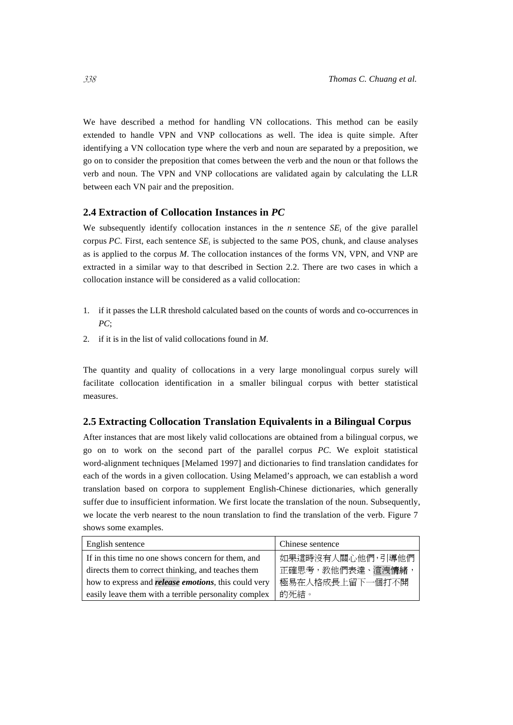We have described a method for handling VN collocations. This method can be easily extended to handle VPN and VNP collocations as well. The idea is quite simple. After identifying a VN collocation type where the verb and noun are separated by a preposition, we go on to consider the preposition that comes between the verb and the noun or that follows the verb and noun. The VPN and VNP collocations are validated again by calculating the LLR between each VN pair and the preposition.

#### **2.4 Extraction of Collocation Instances in** *PC*

We subsequently identify collocation instances in the  $n$  sentence  $SE_i$  of the give parallel corpus *PC*. First, each sentence *SE*i is subjected to the same POS, chunk, and clause analyses as is applied to the corpus *M*. The collocation instances of the forms VN, VPN, and VNP are extracted in a similar way to that described in Section 2.2. There are two cases in which a collocation instance will be considered as a valid collocation:

- 1. if it passes the LLR threshold calculated based on the counts of words and co-occurrences in *PC*;
- 2. if it is in the list of valid collocations found in *M*.

The quantity and quality of collocations in a very large monolingual corpus surely will facilitate collocation identification in a smaller bilingual corpus with better statistical measures.

#### **2.5 Extracting Collocation Translation Equivalents in a Bilingual Corpus**

After instances that are most likely valid collocations are obtained from a bilingual corpus, we go on to work on the second part of the parallel corpus *PC*. We exploit statistical word-alignment techniques [Melamed 1997] and dictionaries to find translation candidates for each of the words in a given collocation. Using Melamed's approach, we can establish a word translation based on corpora to supplement English-Chinese dictionaries, which generally suffer due to insufficient information. We first locate the translation of the noun. Subsequently, we locate the verb nearest to the noun translation to find the translation of the verb. Figure 7 shows some examples.

| English sentence                                            | Chinese sentence |
|-------------------------------------------------------------|------------------|
| If in this time no one shows concern for them, and          | 如果這時沒有人關心他們,引導他們 |
| directs them to correct thinking, and teaches them          | 正確思考,教他們表達、渲洩情緒  |
| how to express and <i>release</i> emotions, this could very | 極易在人格成長上留下一個打不開  |
| easily leave them with a terrible personality complex       | 的死結。             |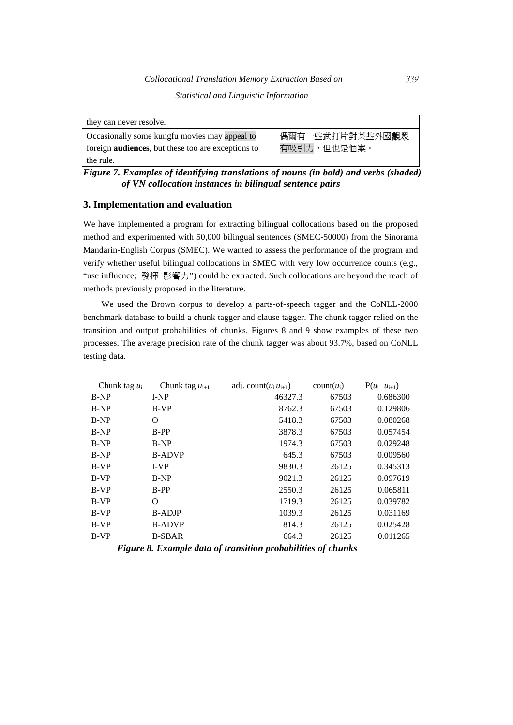#### *Collocational Translation Memory Extraction Based on* 339

*Statistical and Linguistic Information* 

| they can never resolve.                                                                                     |                                |
|-------------------------------------------------------------------------------------------------------------|--------------------------------|
| Occasionally some kungfu movies may appeal to<br>foreign <b>audiences</b> , but these too are exceptions to | 偶爾有一些武打片對某些外國觀眾<br>有吸引力,但也是個案。 |
| the rule.                                                                                                   |                                |

*Figure 7. Examples of identifying translations of nouns (in bold) and verbs (shaded) of VN collocation instances in bilingual sentence pairs* 

#### **3. Implementation and evaluation**

We have implemented a program for extracting bilingual collocations based on the proposed method and experimented with 50,000 bilingual sentences (SMEC-50000) from the Sinorama Mandarin-English Corpus (SMEC). We wanted to assess the performance of the program and verify whether useful bilingual collocations in SMEC with very low occurrence counts (e.g., "use influence; 發揮 影響力") could be extracted. Such collocations are beyond the reach of methods previously proposed in the literature.

We used the Brown corpus to develop a parts-of-speech tagger and the CoNLL-2000 benchmark database to build a chunk tagger and clause tagger. The chunk tagger relied on the transition and output probabilities of chunks. Figures 8 and 9 show examples of these two processes. The average precision rate of the chunk tagger was about 93.7%, based on CoNLL testing data.

| Chunk tag $u_{i+1}$ | adj. count $(u_i u_{i+1})$ | $count(u_i)$ | $P(u_i   u_{i+1})$ |
|---------------------|----------------------------|--------------|--------------------|
| $I-NP$              | 46327.3                    | 67503        | 0.686300           |
| $B-VP$              | 8762.3                     | 67503        | 0.129806           |
| O                   | 5418.3                     | 67503        | 0.080268           |
| $B-PP$              | 3878.3                     | 67503        | 0.057454           |
| B-NP                | 1974.3                     | 67503        | 0.029248           |
| <b>B-ADVP</b>       | 645.3                      | 67503        | 0.009560           |
| $I-VP$              | 9830.3                     | 26125        | 0.345313           |
| B-NP                | 9021.3                     | 26125        | 0.097619           |
| B-PP                | 2550.3                     | 26125        | 0.065811           |
| O                   | 1719.3                     | 26125        | 0.039782           |
| <b>B-ADJP</b>       | 1039.3                     | 26125        | 0.031169           |
| <b>B-ADVP</b>       | 814.3                      | 26125        | 0.025428           |
| <b>B-SBAR</b>       | 664.3                      | 26125        | 0.011265           |
|                     |                            |              |                    |

*Figure 8. Example data of transition probabilities of chunks*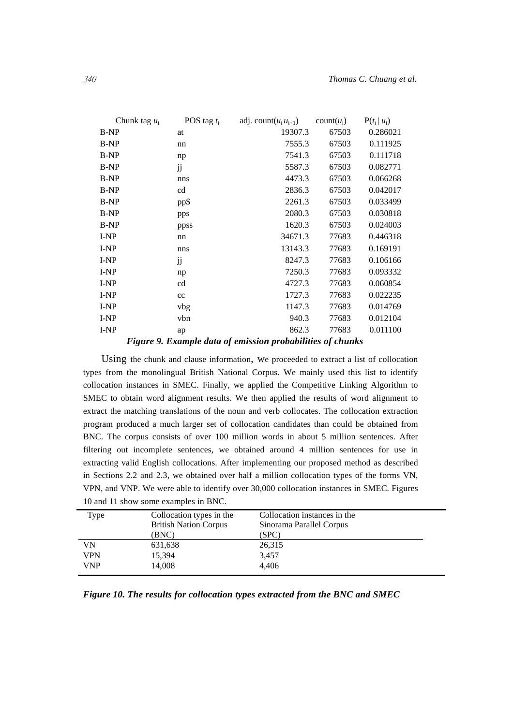| Chunk tag $u_i$ | POS tag $t_i$ | adj. count $(u_i u_{i+1})$ | $count(u_i)$ | $P(t_i   u_i)$ |
|-----------------|---------------|----------------------------|--------------|----------------|
| $B-NP$          | at            | 19307.3                    | 67503        | 0.286021       |
| <b>B-NP</b>     | nn            | 7555.3                     | 67503        | 0.111925       |
| <b>B-NP</b>     | np            | 7541.3                     | 67503        | 0.111718       |
| <b>B-NP</b>     | jj            | 5587.3                     | 67503        | 0.082771       |
| <b>B-NP</b>     | nns           | 4473.3                     | 67503        | 0.066268       |
| <b>B-NP</b>     | cd            | 2836.3                     | 67503        | 0.042017       |
| <b>B-NP</b>     | pp\$          | 2261.3                     | 67503        | 0.033499       |
| <b>B-NP</b>     | pps           | 2080.3                     | 67503        | 0.030818       |
| <b>B-NP</b>     | ppss          | 1620.3                     | 67503        | 0.024003       |
| I-NP            | nn            | 34671.3                    | 77683        | 0.446318       |
| I-NP            | nns           | 13143.3                    | 77683        | 0.169191       |
| I-NP            | jj            | 8247.3                     | 77683        | 0.106166       |
| I-NP            | np            | 7250.3                     | 77683        | 0.093332       |
| I-NP            | cd            | 4727.3                     | 77683        | 0.060854       |
| I-NP            | cc            | 1727.3                     | 77683        | 0.022235       |
| I-NP            | vbg           | 1147.3                     | 77683        | 0.014769       |
| I-NP            | vbn           | 940.3                      | 77683        | 0.012104       |
| I-NP            | ap            | 862.3                      | 77683        | 0.011100       |
|                 |               |                            |              |                |

*Figure 9. Example data of emission probabilities of chunks* 

Using the chunk and clause information, we proceeded to extract a list of collocation types from the monolingual British National Corpus. We mainly used this list to identify collocation instances in SMEC. Finally, we applied the Competitive Linking Algorithm to SMEC to obtain word alignment results. We then applied the results of word alignment to extract the matching translations of the noun and verb collocates. The collocation extraction program produced a much larger set of collocation candidates than could be obtained from BNC. The corpus consists of over 100 million words in about 5 million sentences. After filtering out incomplete sentences, we obtained around 4 million sentences for use in extracting valid English collocations. After implementing our proposed method as described in Sections 2.2 and 2.3, we obtained over half a million collocation types of the forms VN, VPN, and VNP. We were able to identify over 30,000 collocation instances in SMEC. Figures 10 and 11 show some examples in BNC.

| Type | Collocation types in the     | Collocation instances in the |  |
|------|------------------------------|------------------------------|--|
|      | <b>British Nation Corpus</b> | Sinorama Parallel Corpus     |  |
|      | (BNC)                        | (SPC)                        |  |
| VN   | 631,638                      | 26,315                       |  |
| VPN  | 15,394                       | 3,457                        |  |
| VNP  | 14,008                       | 4.406                        |  |
|      |                              |                              |  |

*Figure 10. The results for collocation types extracted from the BNC and SMEC*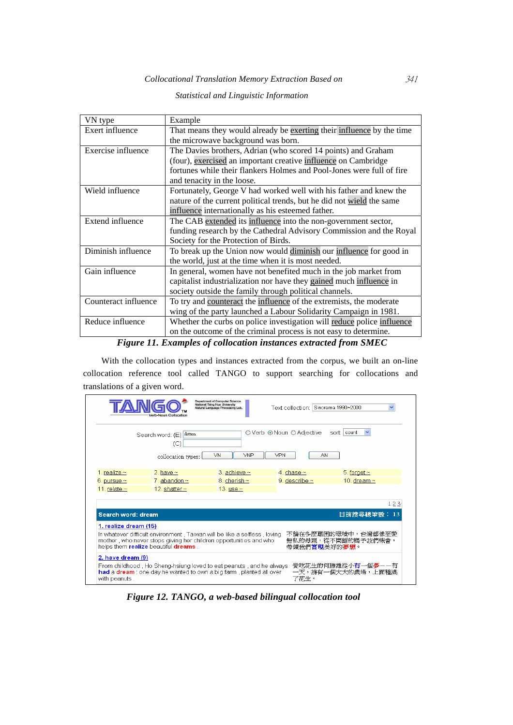#### *Collocational Translation Memory Extraction Based on* 341

#### VN type Example Exert influence That means they would already be <u>exerting</u> their influence by the time the microwave background was born. Exercise influence The Davies brothers, Adrian (who scored 14 points) and Graham (four), exercised an important creative influence on Cambridge fortunes while their flankers Holmes and Pool-Jones were full of fire and tenacity in the loose. Wield influence Fortunately, George V had worked well with his father and knew the nature of the current political trends, but he did not wield the same influence internationally as his esteemed father. Extend influence The CAB extended its influence into the non-government sector, funding research by the Cathedral Advisory Commission and the Royal Society for the Protection of Birds. Diminish influence To break up the Union now would diminish our influence for good in the world, just at the time when it is most needed. Gain influence In general, women have not benefited much in the job market from capitalist industrialization nor have they gained much influence in society outside the family through political channels. Counteract influence  $\vert$  To try and counteract the influence of the extremists, the moderate wing of the party launched a Labour Solidarity Campaign in 1981. Reduce influence Whether the curbs on police investigation will reduce police influence on the outcome of the criminal process is not easy to determine.

#### *Statistical and Linguistic Information*

*Figure 11. Examples of collocation instances extracted from SMEC* 

With the collocation types and instances extracted from the corpus, we built an on-line collocation reference tool called TANGO to support searching for collocations and translations of a given word.

|                                                                                                                                                                                                                                                                                               | erb-Noun Collocation                                                                                                                      | <b>Department of Computer Science</b><br>National Tsing Hua University<br>Natural Language Processing Lab. | Text collection: Sinorama 1990~2000    |                                                 |
|-----------------------------------------------------------------------------------------------------------------------------------------------------------------------------------------------------------------------------------------------------------------------------------------------|-------------------------------------------------------------------------------------------------------------------------------------------|------------------------------------------------------------------------------------------------------------|----------------------------------------|-------------------------------------------------|
|                                                                                                                                                                                                                                                                                               | Search word: (E) dream<br>(C)<br>collocation types:                                                                                       | VN<br>VNP                                                                                                  | ○ Verb ⊙ Noun ○ Adjective<br>VPN<br>AN | sort count                                      |
| 1. realize $\sim$                                                                                                                                                                                                                                                                             | 2. have $\sim$                                                                                                                            | 3. achieve $\sim$                                                                                          | 4. chase $\sim$                        | 5. forget $\sim$                                |
| 6. pursue $\sim$                                                                                                                                                                                                                                                                              | 7. abandon $\sim$                                                                                                                         | 8. cherish $\sim$                                                                                          | 9. describe $\sim$                     | 10. dream $\sim$                                |
| 11. relate $\sim$                                                                                                                                                                                                                                                                             | 12. shatter $\sim$                                                                                                                        | 13. use $\sim$                                                                                             |                                        |                                                 |
|                                                                                                                                                                                                                                                                                               |                                                                                                                                           |                                                                                                            |                                        | 123                                             |
| Search word: dream                                                                                                                                                                                                                                                                            |                                                                                                                                           |                                                                                                            |                                        | 目前搜尋總筆<br>13                                    |
| 1. realize dream (15)<br>不論在多麼艱困的環境中,台灣都像至愛<br>In whatever difficult environment, Taiwan will be like a selfless, loving<br>mother, who never stops giving her children opportunities and who<br>無私的母親,從不間斷的賜予我們機會,<br>helps them realize beautiful dreams.<br>帶領我們 <b>嘗琪</b> 美好的 <b>夢想</b> 。 |                                                                                                                                           |                                                                                                            |                                        |                                                 |
| 2. have dream (9)                                                                                                                                                                                                                                                                             |                                                                                                                                           |                                                                                                            |                                        |                                                 |
| with peanuts.                                                                                                                                                                                                                                                                                 | From childhood, Ho Sheng-hsiung loved to eat peanuts, and he always<br>had a dream: one day he wanted to own a big farm, planted all over |                                                                                                            | 了花生。                                   | 愛吃花生的何勝雄從小 <b>有一個夢</b> --有<br>一天,擁有一個大大的農場,上面種滿 |

*Figure 12. TANGO, a web-based bilingual collocation tool*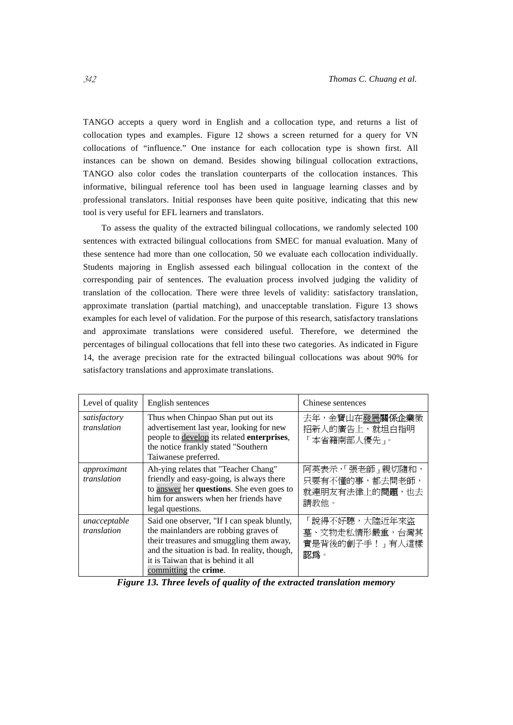TANGO accepts a query word in English and a collocation type, and returns a list of collocation types and examples. Figure 12 shows a screen returned for a query for VN collocations of "influence." One instance for each collocation type is shown first. All instances can be shown on demand. Besides showing bilingual collocation extractions, TANGO also color codes the translation counterparts of the collocation instances. This informative, bilingual reference tool has been used in language learning classes and by professional translators. Initial responses have been quite positive, indicating that this new tool is very useful for EFL learners and translators.

To assess the quality of the extracted bilingual collocations, we randomly selected 100 sentences with extracted bilingual collocations from SMEC for manual evaluation. Many of these sentence had more than one collocation, 50 we evaluate each collocation individually. Students majoring in English assessed each bilingual collocation in the context of the corresponding pair of sentences. The evaluation process involved judging the validity of translation of the collocation. There were three levels of validity: satisfactory translation, approximate translation (partial matching), and unacceptable translation. Figure 13 shows examples for each level of validation. For the purpose of this research, satisfactory translations and approximate translations were considered useful. Therefore, we determined the percentages of bilingual collocations that fell into these two categories. As indicated in Figure 14, the average precision rate for the extracted bilingual collocations was about 90% for satisfactory translations and approximate translations.

| Level of quality            | English sentences                                                                                                                                                                                                                                        | Chinese sentences                                                     |
|-----------------------------|----------------------------------------------------------------------------------------------------------------------------------------------------------------------------------------------------------------------------------------------------------|-----------------------------------------------------------------------|
| satisfactory<br>translation | Thus when Chinpao Shan put out its<br>advertisement last year, looking for new<br>people to develop its related enterprises,<br>the notice frankly stated "Southern<br>Taiwanese preferred.                                                              | 去年,金寶山在發展關係企業徵<br>招新人的廣告上,就坦白指明<br>「本省籍南部人優先」。                        |
| approximant<br>translation  | Ah-ying relates that "Teacher Chang"<br>friendly and easy-going, is always there<br>to answer her questions. She even goes to<br>him for answers when her friends have<br>legal questions.                                                               | 阿英表示,「張老師 -親切隨和,<br>只要有不懂的事,都去問老師,<br>就連朋友有法律上的 <b>問題</b> ,也去<br>請教他。 |
| unacceptable<br>translation | Said one observer, "If I can speak bluntly,<br>the mainlanders are robbing graves of<br>their treasures and smuggling them away,<br>and the situation is bad. In reality, though,<br>it is Taiwan that is behind it all<br>committing the <b>crime</b> . | 「說得不好聽,大陸近年來盜<br>墓、文物走私情形嚴重,台灣其<br>實是背後的劊子手! 有人這樣<br>認爲。              |

*Figure 13. Three levels of quality of the extracted translation memory*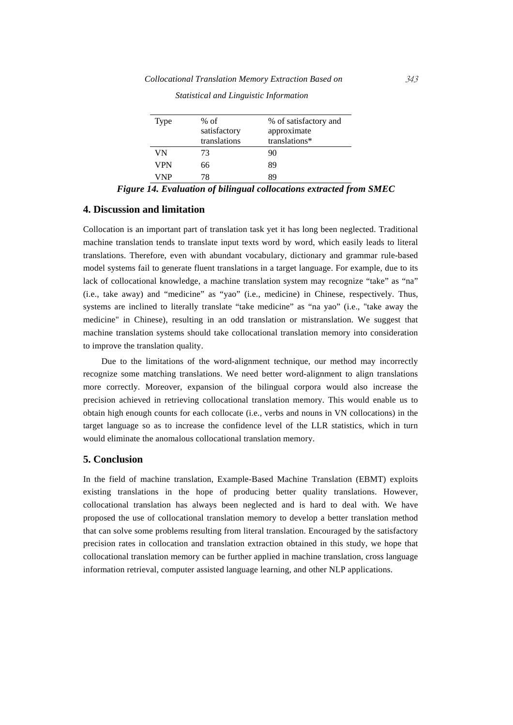| Type | $%$ of<br>satisfactory<br>translations | % of satisfactory and<br>approximate<br>translations* |
|------|----------------------------------------|-------------------------------------------------------|
| VN   | 73                                     | 90                                                    |
| VPN  | 66                                     | 89                                                    |
| VNP  | 78                                     | gΟ                                                    |

*Statistical and Linguistic Information* 

*Figure 14. Evaluation of bilingual collocations extracted from SMEC* 

#### **4. Discussion and limitation**

Collocation is an important part of translation task yet it has long been neglected. Traditional machine translation tends to translate input texts word by word, which easily leads to literal translations. Therefore, even with abundant vocabulary, dictionary and grammar rule-based model systems fail to generate fluent translations in a target language. For example, due to its lack of collocational knowledge, a machine translation system may recognize "take" as "na" (i.e., take away) and "medicine" as "yao" (i.e., medicine) in Chinese, respectively. Thus, systems are inclined to literally translate "take medicine" as "na yao" (i.e., "take away the medicine" in Chinese), resulting in an odd translation or mistranslation. We suggest that machine translation systems should take collocational translation memory into consideration to improve the translation quality.

Due to the limitations of the word-alignment technique, our method may incorrectly recognize some matching translations. We need better word-alignment to align translations more correctly. Moreover, expansion of the bilingual corpora would also increase the precision achieved in retrieving collocational translation memory. This would enable us to obtain high enough counts for each collocate (i.e., verbs and nouns in VN collocations) in the target language so as to increase the confidence level of the LLR statistics, which in turn would eliminate the anomalous collocational translation memory.

#### **5. Conclusion**

In the field of machine translation, Example-Based Machine Translation (EBMT) exploits existing translations in the hope of producing better quality translations. However, collocational translation has always been neglected and is hard to deal with. We have proposed the use of collocational translation memory to develop a better translation method that can solve some problems resulting from literal translation. Encouraged by the satisfactory precision rates in collocation and translation extraction obtained in this study, we hope that collocational translation memory can be further applied in machine translation, cross language information retrieval, computer assisted language learning, and other NLP applications.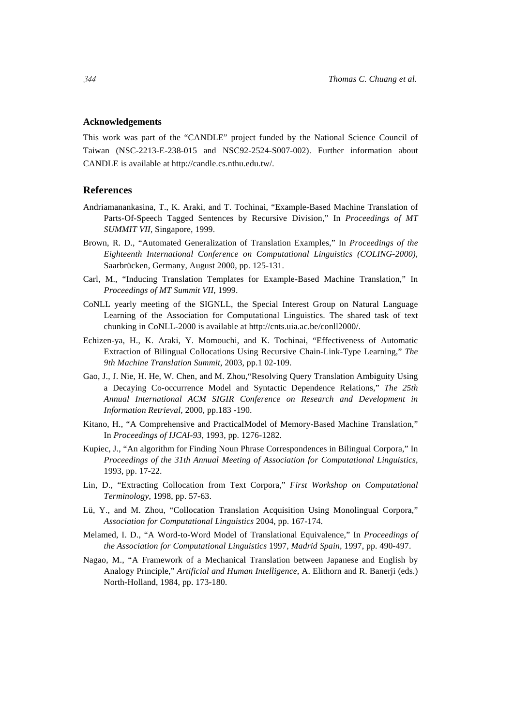#### **Acknowledgements**

This work was part of the "CANDLE" project funded by the National Science Council of Taiwan (NSC-2213-E-238-015 and NSC92-2524-S007-002). Further information about CANDLE is available at http://candle.cs.nthu.edu.tw/.

#### **References**

- Andriamanankasina, T., K. Araki, and T. Tochinai, "Example-Based Machine Translation of Parts-Of-Speech Tagged Sentences by Recursive Division," In *Proceedings of MT SUMMIT VII,* Singapore, 1999.
- Brown, R. D., "Automated Generalization of Translation Examples," In *Proceedings of the Eighteenth International Conference on Computational Linguistics (COLING-2000),*  Saarbrücken, Germany, August 2000, pp. 125-131.
- Carl, M., "Inducing Translation Templates for Example-Based Machine Translation," In *Proceedings of MT Summit VII*, 1999.
- CoNLL yearly meeting of the SIGNLL, the Special Interest Group on Natural Language Learning of the Association for Computational Linguistics. The shared task of text chunking in CoNLL-2000 is available at http://cnts.uia.ac.be/conll2000/.
- Echizen-ya, H., K. Araki, Y. Momouchi, and K. Tochinai, "Effectiveness of Automatic Extraction of Bilingual Collocations Using Recursive Chain-Link-Type Learning," *The 9th Machine Translation Summit*, 2003, pp.1 02-109.
- Gao, J., J. Nie, H. He, W. Chen, and M. Zhou,"Resolving Query Translation Ambiguity Using a Decaying Co-occurrence Model and Syntactic Dependence Relations," *The 25th Annual International ACM SIGIR Conference on Research and Development in Information Retrieval,* 2000, pp.183 -190.
- Kitano, H., "A Comprehensive and PracticalModel of Memory-Based Machine Translation," In *Proceedings of IJCAI-93*, 1993, pp. 1276-1282.
- Kupiec, J., "An algorithm for Finding Noun Phrase Correspondences in Bilingual Corpora," In *Proceedings of the 31th Annual Meeting of Association for Computational Linguistics*, 1993, pp. 17-22.
- Lin, D., "Extracting Collocation from Text Corpora," *First Workshop on Computational Terminology*, 1998, pp. 57-63.
- Lü, Y., and M. Zhou, "Collocation Translation Acquisition Using Monolingual Corpora," *Association for Computational Linguistics* 2004, pp. 167-174.
- Melamed, I. D., "A Word-to-Word Model of Translational Equivalence," In *Proceedings of the Association for Computational Linguistics* 1997*, Madrid Spain,* 1997, pp. 490-497.
- Nagao, M., "A Framework of a Mechanical Translation between Japanese and English by Analogy Principle," *Artificial and Human Intelligence*, A. Elithorn and R. Banerji (eds.) North-Holland, 1984, pp. 173-180.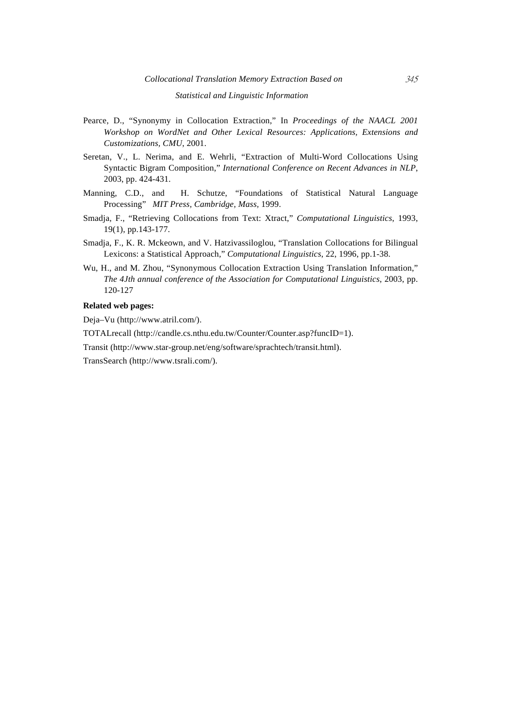#### *Statistical and Linguistic Information*

- Pearce, D., "Synonymy in Collocation Extraction," In *Proceedings of the NAACL 2001 Workshop on WordNet and Other Lexical Resources: Applications, Extensions and Customizations, CMU*, 2001.
- Seretan, V., L. Nerima, and E. Wehrli, "Extraction of Multi-Word Collocations Using Syntactic Bigram Composition," *International Conference on Recent Advances in NLP*, 2003, pp. 424-431.
- Manning, C.D., and H. Schutze, "Foundations of Statistical Natural Language Processing" *MIT Press, Cambridge, Mass,* 1999.
- Smadja, F., "Retrieving Collocations from Text: Xtract," *Computational Linguistics*, 1993, 19(1), pp.143-177.
- Smadja, F., K. R. Mckeown, and V. Hatzivassiloglou, "Translation Collocations for Bilingual Lexicons: a Statistical Approach," *Computational Linguistics*, 22, 1996, pp.1-38.
- Wu, H., and M. Zhou, "Synonymous Collocation Extraction Using Translation Information," *The 4Jth annual conference of the Association for Computational Linguistics*, 2003, pp. 120-127

#### **Related web pages:**

Deja–Vu (http://www.atril.com/).

TOTALrecall (http://candle.cs.nthu.edu.tw/Counter/Counter.asp?funcID=1).

Transit (http://www.star-group.net/eng/software/sprachtech/transit.html).

TransSearch (http://www.tsrali.com/).